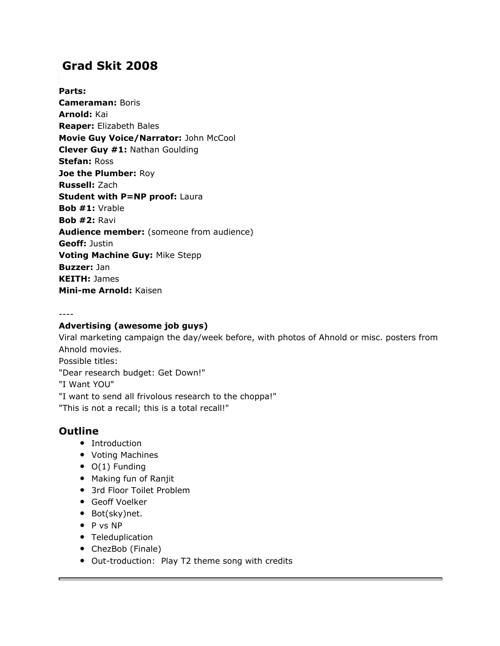# **Grad Skit 2008**

### **Parts:**

**Cameraman:** Boris **Arnold:** Kai **Reaper:** Elizabeth Bales **Movie Guy Voice/Narrator:** John McCool **Clever Guy #1:** Nathan Goulding **Stefan:** Ross **Joe the Plumber:** Roy **Russell:** Zach **Student with P=NP proof:** Laura **Bob #1:** Vrable **Bob #2:** Ravi **Audience member:** (someone from audience) **Geoff:** Justin **Voting Machine Guy:** Mike Stepp **Buzzer:** Jan **KEITH:** James **Mini-me Arnold:** Kaisen

----

#### **Advertising (awesome job guys)**

Viral marketing campaign the day/week before, with photos of Ahnold or misc. posters from Ahnold movies. Possible titles: "Dear research budget: Get Down!" "I Want YOU" "I want to send all frivolous research to the choppa!" "This is not a recall; this is a total recall!"

### **Outline**

- Introduction
- Voting Machines
- O(1) Funding
- Making fun of Ranjit
- 3rd Floor Toilet Problem
- Geoff Voelker
- Bot(sky)net.
- P vs NP
- Teleduplication
- ChezBob (Finale)
- Out-troduction: Play T2 theme song with credits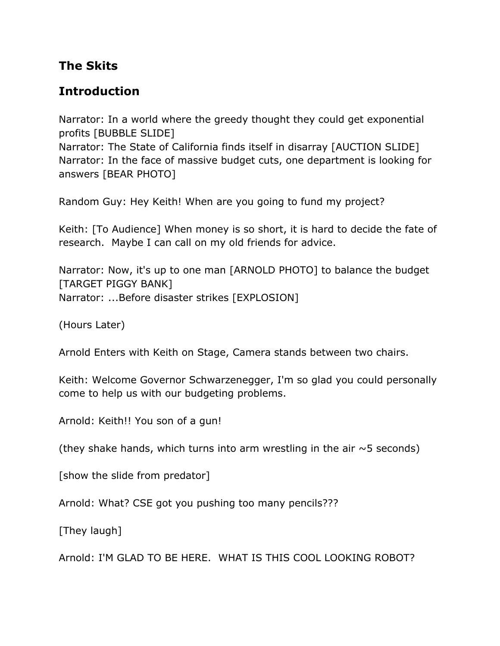# **The Skits**

# **Introduction**

Narrator: In a world where the greedy thought they could get exponential profits [BUBBLE SLIDE]

Narrator: The State of California finds itself in disarray [AUCTION SLIDE] Narrator: In the face of massive budget cuts, one department is looking for answers [BEAR PHOTO]

Random Guy: Hey Keith! When are you going to fund my project?

Keith: [To Audience] When money is so short, it is hard to decide the fate of research. Maybe I can call on my old friends for advice.

Narrator: Now, it's up to one man [ARNOLD PHOTO] to balance the budget [TARGET PIGGY BANK] Narrator: ...Before disaster strikes [EXPLOSION]

(Hours Later)

Arnold Enters with Keith on Stage, Camera stands between two chairs.

Keith: Welcome Governor Schwarzenegger, I'm so glad you could personally come to help us with our budgeting problems.

Arnold: Keith!! You son of a gun!

(they shake hands, which turns into arm wrestling in the air  $\sim$  5 seconds)

[show the slide from predator]

Arnold: What? CSE got you pushing too many pencils???

[They laugh]

Arnold: I'M GLAD TO BE HERE. WHAT IS THIS COOL LOOKING ROBOT?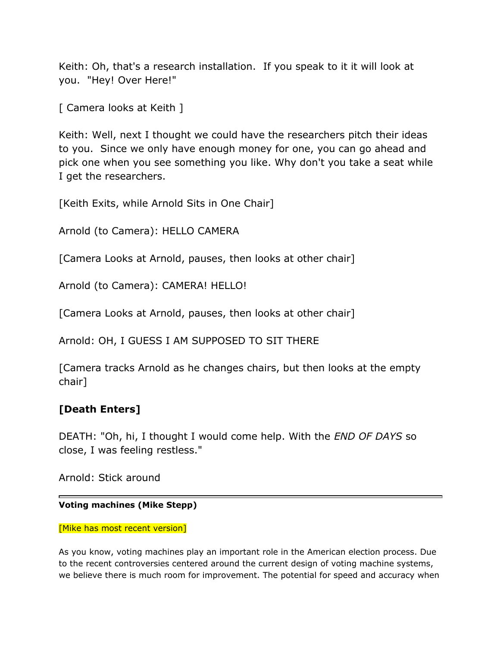Keith: Oh, that's a research installation. If you speak to it it will look at you. "Hey! Over Here!"

[ Camera looks at Keith ]

Keith: Well, next I thought we could have the researchers pitch their ideas to you. Since we only have enough money for one, you can go ahead and pick one when you see something you like. Why don't you take a seat while I get the researchers.

[Keith Exits, while Arnold Sits in One Chair]

Arnold (to Camera): HELLO CAMERA

[Camera Looks at Arnold, pauses, then looks at other chair]

Arnold (to Camera): CAMERA! HELLO!

[Camera Looks at Arnold, pauses, then looks at other chair]

Arnold: OH, I GUESS I AM SUPPOSED TO SIT THERE

[Camera tracks Arnold as he changes chairs, but then looks at the empty chair]

# **[Death Enters]**

DEATH: "Oh, hi, I thought I would come help. With the *END OF DAYS* so close, I was feeling restless."

Arnold: Stick around

#### **Voting machines (Mike Stepp)**

#### [Mike has most recent version]

As you know, voting machines play an important role in the American election process. Due to the recent controversies centered around the current design of voting machine systems, we believe there is much room for improvement. The potential for speed and accuracy when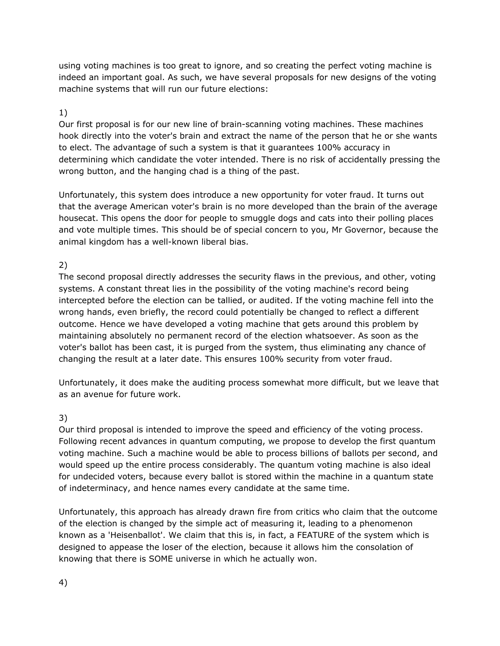using voting machines is too great to ignore, and so creating the perfect voting machine is indeed an important goal. As such, we have several proposals for new designs of the voting machine systems that will run our future elections:

#### 1)

Our first proposal is for our new line of brain-scanning voting machines. These machines hook directly into the voter's brain and extract the name of the person that he or she wants to elect. The advantage of such a system is that it guarantees 100% accuracy in determining which candidate the voter intended. There is no risk of accidentally pressing the wrong button, and the hanging chad is a thing of the past.

Unfortunately, this system does introduce a new opportunity for voter fraud. It turns out that the average American voter's brain is no more developed than the brain of the average housecat. This opens the door for people to smuggle dogs and cats into their polling places and vote multiple times. This should be of special concern to you, Mr Governor, because the animal kingdom has a well-known liberal bias.

### 2)

The second proposal directly addresses the security flaws in the previous, and other, voting systems. A constant threat lies in the possibility of the voting machine's record being intercepted before the election can be tallied, or audited. If the voting machine fell into the wrong hands, even briefly, the record could potentially be changed to reflect a different outcome. Hence we have developed a voting machine that gets around this problem by maintaining absolutely no permanent record of the election whatsoever. As soon as the voter's ballot has been cast, it is purged from the system, thus eliminating any chance of changing the result at a later date. This ensures 100% security from voter fraud.

Unfortunately, it does make the auditing process somewhat more difficult, but we leave that as an avenue for future work.

#### 3)

Our third proposal is intended to improve the speed and efficiency of the voting process. Following recent advances in quantum computing, we propose to develop the first quantum voting machine. Such a machine would be able to process billions of ballots per second, and would speed up the entire process considerably. The quantum voting machine is also ideal for undecided voters, because every ballot is stored within the machine in a quantum state of indeterminacy, and hence names every candidate at the same time.

Unfortunately, this approach has already drawn fire from critics who claim that the outcome of the election is changed by the simple act of measuring it, leading to a phenomenon known as a 'Heisenballot'. We claim that this is, in fact, a FEATURE of the system which is designed to appease the loser of the election, because it allows him the consolation of knowing that there is SOME universe in which he actually won.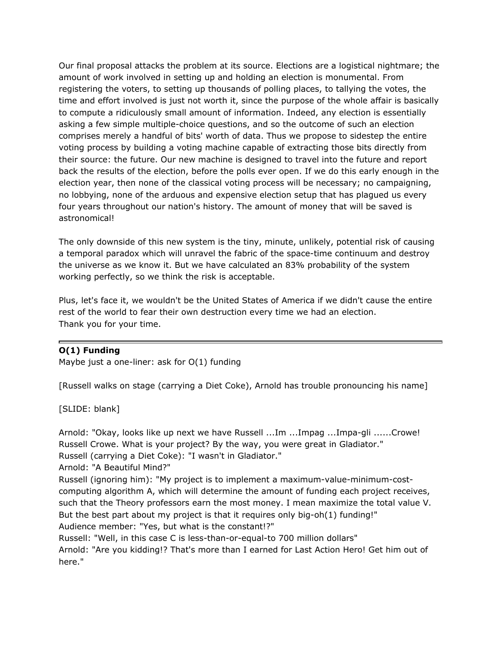Our final proposal attacks the problem at its source. Elections are a logistical nightmare; the amount of work involved in setting up and holding an election is monumental. From registering the voters, to setting up thousands of polling places, to tallying the votes, the time and effort involved is just not worth it, since the purpose of the whole affair is basically to compute a ridiculously small amount of information. Indeed, any election is essentially asking a few simple multiple-choice questions, and so the outcome of such an election comprises merely a handful of bits' worth of data. Thus we propose to sidestep the entire voting process by building a voting machine capable of extracting those bits directly from their source: the future. Our new machine is designed to travel into the future and report back the results of the election, before the polls ever open. If we do this early enough in the election year, then none of the classical voting process will be necessary; no campaigning, no lobbying, none of the arduous and expensive election setup that has plagued us every four years throughout our nation's history. The amount of money that will be saved is astronomical!

The only downside of this new system is the tiny, minute, unlikely, potential risk of causing a temporal paradox which will unravel the fabric of the space-time continuum and destroy the universe as we know it. But we have calculated an 83% probability of the system working perfectly, so we think the risk is acceptable.

Plus, let's face it, we wouldn't be the United States of America if we didn't cause the entire rest of the world to fear their own destruction every time we had an election. Thank you for your time.

#### **O(1) Funding**

Maybe just a one-liner: ask for O(1) funding

[Russell walks on stage (carrying a Diet Coke), Arnold has trouble pronouncing his name]

[SLIDE: blank]

Arnold: "Okay, looks like up next we have Russell ...Im ...Impag ...Impa-gli ......Crowe! Russell Crowe. What is your project? By the way, you were great in Gladiator." Russell (carrying a Diet Coke): "I wasn't in Gladiator." Arnold: "A Beautiful Mind?"

Russell (ignoring him): "My project is to implement a maximum-value-minimum-costcomputing algorithm A, which will determine the amount of funding each project receives, such that the Theory professors earn the most money. I mean maximize the total value V. But the best part about my project is that it requires only big-oh(1) funding!" Audience member: "Yes, but what is the constant!?"

Russell: "Well, in this case C is less-than-or-equal-to 700 million dollars" Arnold: "Are you kidding!? That's more than I earned for Last Action Hero! Get him out of here."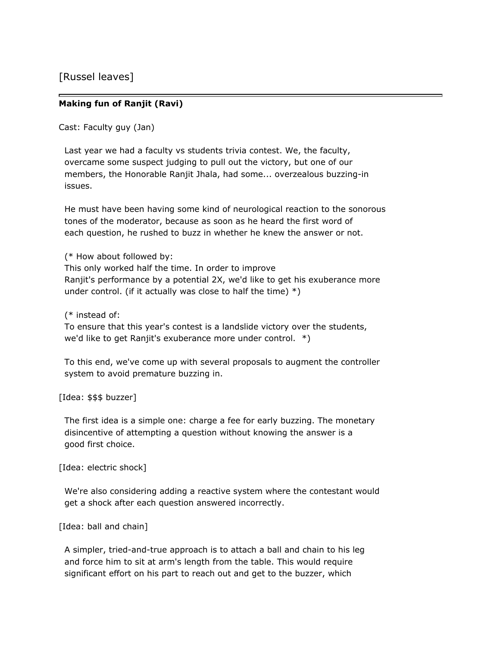[Russel leaves]

#### **Making fun of Ranjit (Ravi)**

Cast: Faculty guy (Jan)

Last year we had a faculty vs students trivia contest. We, the faculty, overcame some suspect judging to pull out the victory, but one of our members, the Honorable Ranjit Jhala, had some... overzealous buzzing-in issues.

He must have been having some kind of neurological reaction to the sonorous tones of the moderator, because as soon as he heard the first word of each question, he rushed to buzz in whether he knew the answer or not.

(\* How about followed by: This only worked half the time. In order to improve Ranjit's performance by a potential 2X, we'd like to get his exuberance more under control. (if it actually was close to half the time)  $*)$ 

(\* instead of:

To ensure that this year's contest is a landslide victory over the students, we'd like to get Ranjit's exuberance more under control. \*)

To this end, we've come up with several proposals to augment the controller system to avoid premature buzzing in.

[Idea: \$\$\$ buzzer]

The first idea is a simple one: charge a fee for early buzzing. The monetary disincentive of attempting a question without knowing the answer is a good first choice.

[Idea: electric shock]

We're also considering adding a reactive system where the contestant would get a shock after each question answered incorrectly.

[Idea: ball and chain]

A simpler, tried-and-true approach is to attach a ball and chain to his leg and force him to sit at arm's length from the table. This would require significant effort on his part to reach out and get to the buzzer, which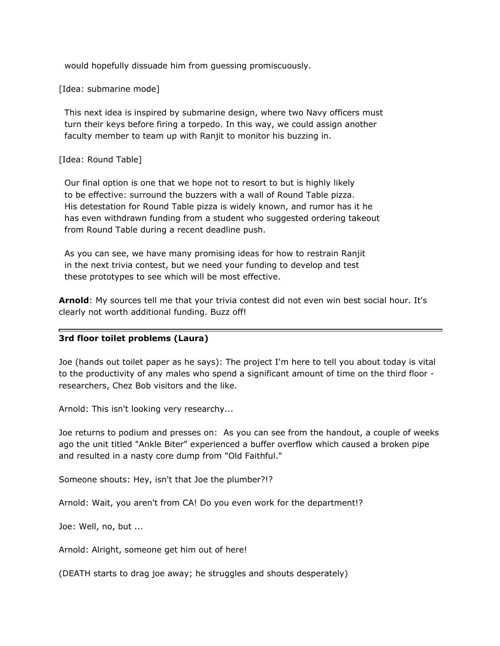would hopefully dissuade him from guessing promiscuously.

[Idea: submarine mode]

This next idea is inspired by submarine design, where two Navy officers must turn their keys before firing a torpedo. In this way, we could assign another faculty member to team up with Ranjit to monitor his buzzing in.

#### [Idea: Round Table]

Our final option is one that we hope not to resort to but is highly likely to be effective: surround the buzzers with a wall of Round Table pizza. His detestation for Round Table pizza is widely known, and rumor has it he has even withdrawn funding from a student who suggested ordering takeout from Round Table during a recent deadline push.

As you can see, we have many promising ideas for how to restrain Ranjit in the next trivia contest, but we need your funding to develop and test these prototypes to see which will be most effective.

**Arnold**: My sources tell me that your trivia contest did not even win best social hour. It's clearly not worth additional funding. Buzz off!

#### **3rd floor toilet problems (Laura)**

Joe (hands out toilet paper as he says): The project I'm here to tell you about today is vital to the productivity of any males who spend a significant amount of time on the third floor researchers, Chez Bob visitors and the like.

Arnold: This isn't looking very researchy...

Joe returns to podium and presses on: As you can see from the handout, a couple of weeks ago the unit titled "Ankle Biter" experienced a buffer overflow which caused a broken pipe and resulted in a nasty core dump from "Old Faithful."

Someone shouts: Hey, isn't that Joe the plumber?!?

Arnold: Wait, you aren't from CA! Do you even work for the department!?

Joe: Well, no, but ...

Arnold: Alright, someone get him out of here!

(DEATH starts to drag joe away; he struggles and shouts desperately)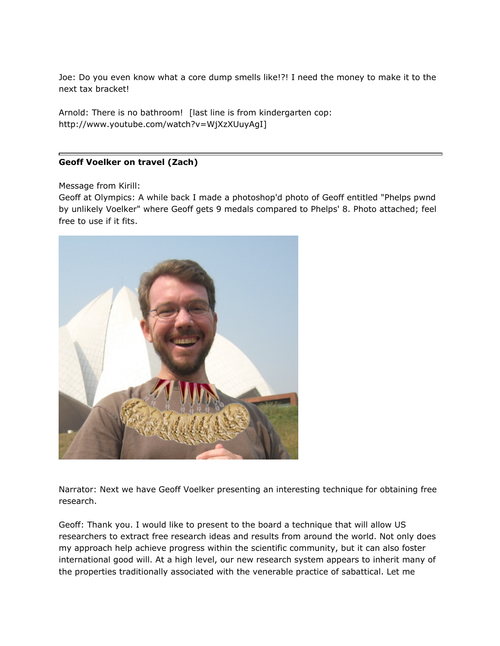Joe: Do you even know what a core dump smells like!?! I need the money to make it to the next tax bracket!

Arnold: There is no bathroom! [last line is from kindergarten cop: http://www.youtube.com/watch?v=WjXzXUuyAgI]

#### **Geoff Voelker on travel (Zach)**

Message from Kirill:

Geoff at Olympics: A while back I made a photoshop'd photo of Geoff entitled "Phelps pwnd by unlikely Voelker" where Geoff gets 9 medals compared to Phelps' 8. Photo attached; feel free to use if it fits.



Narrator: Next we have Geoff Voelker presenting an interesting technique for obtaining free research.

Geoff: Thank you. I would like to present to the board a technique that will allow US researchers to extract free research ideas and results from around the world. Not only does my approach help achieve progress within the scientific community, but it can also foster international good will. At a high level, our new research system appears to inherit many of the properties traditionally associated with the venerable practice of sabattical. Let me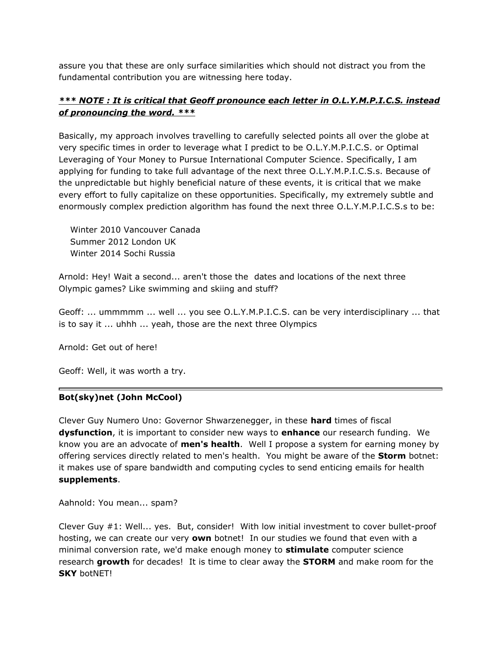assure you that these are only surface similarities which should not distract you from the fundamental contribution you are witnessing here today.

### *\*\*\* NOTE : It is critical that Geoff pronounce each letter in O.L.Y.M.P.I.C.S. instead of pronouncing the word. \*\*\**

Basically, my approach involves travelling to carefully selected points all over the globe at very specific times in order to leverage what I predict to be O.L.Y.M.P.I.C.S. or Optimal Leveraging of Your Money to Pursue International Computer Science. Specifically, I am applying for funding to take full advantage of the next three O.L.Y.M.P.I.C.S.s. Because of the unpredictable but highly beneficial nature of these events, it is critical that we make every effort to fully capitalize on these opportunities. Specifically, my extremely subtle and enormously complex prediction algorithm has found the next three O.L.Y.M.P.I.C.S.s to be:

Winter 2010 Vancouver Canada Summer 2012 London UK Winter 2014 Sochi Russia

Arnold: Hey! Wait a second... aren't those the dates and locations of the next three Olympic games? Like swimming and skiing and stuff?

Geoff: ... ummmmm ... well ... you see O.L.Y.M.P.I.C.S. can be very interdisciplinary ... that is to say it ... uhhh ... yeah, those are the next three Olympics

Arnold: Get out of here!

Geoff: Well, it was worth a try.

#### **Bot(sky)net (John McCool)**

Clever Guy Numero Uno: Governor Shwarzenegger, in these **hard** times of fiscal **dysfunction**, it is important to consider new ways to **enhance** our research funding. We know you are an advocate of **men's health**. Well I propose a system for earning money by offering services directly related to men's health. You might be aware of the **Storm** botnet: it makes use of spare bandwidth and computing cycles to send enticing emails for health **supplements**.

Aahnold: You mean... spam?

Clever Guy #1: Well... yes. But, consider! With low initial investment to cover bullet-proof hosting, we can create our very **own** botnet! In our studies we found that even with a minimal conversion rate, we'd make enough money to **stimulate** computer science research **growth** for decades! It is time to clear away the **STORM** and make room for the **SKY** botNET!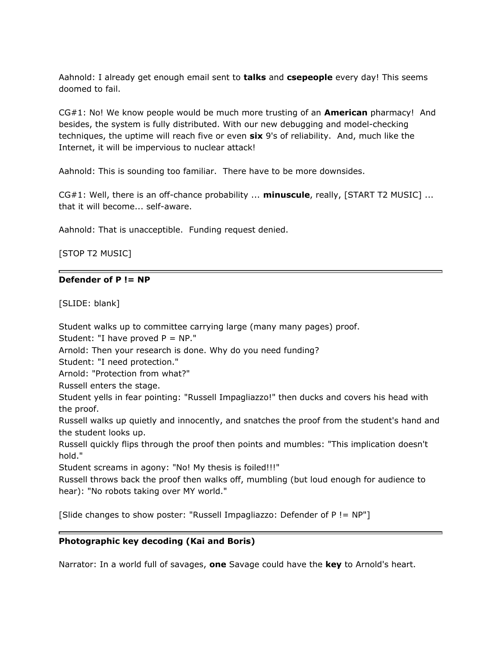Aahnold: I already get enough email sent to **talks** and **csepeople** every day! This seems doomed to fail.

CG#1: No! We know people would be much more trusting of an **American** pharmacy! And besides, the system is fully distributed. With our new debugging and model-checking techniques, the uptime will reach five or even **six** 9's of reliability. And, much like the Internet, it will be impervious to nuclear attack!

Aahnold: This is sounding too familiar. There have to be more downsides.

CG#1: Well, there is an off-chance probability ... **minuscule**, really, [START T2 MUSIC] ... that it will become... self-aware.

Aahnold: That is unacceptible. Funding request denied.

[STOP T2 MUSIC]

#### **Defender of P != NP**

[SLIDE: blank]

Student walks up to committee carrying large (many many pages) proof.

Student: "I have proved  $P = NP$ ."

Arnold: Then your research is done. Why do you need funding?

Student: "I need protection."

Arnold: "Protection from what?"

Russell enters the stage.

Student yells in fear pointing: "Russell Impagliazzo!" then ducks and covers his head with the proof.

Russell walks up quietly and innocently, and snatches the proof from the student's hand and the student looks up.

Russell quickly flips through the proof then points and mumbles: "This implication doesn't hold."

Student screams in agony: "No! My thesis is foiled!!!"

Russell throws back the proof then walks off, mumbling (but loud enough for audience to hear): "No robots taking over MY world."

[Slide changes to show poster: "Russell Impagliazzo: Defender of P != NP"]

#### **Photographic key decoding (Kai and Boris)**

Narrator: In a world full of savages, **one** Savage could have the **key** to Arnold's heart.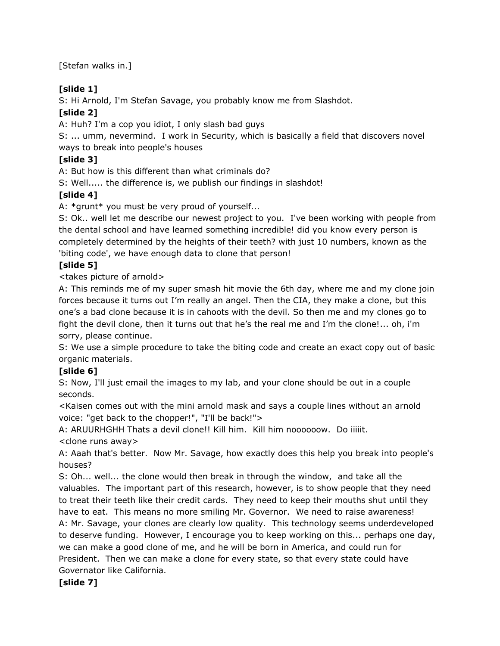[Stefan walks in.]

### **[slide 1]**

S: Hi Arnold, I'm Stefan Savage, you probably know me from Slashdot.

## **[slide 2]**

A: Huh? I'm a cop you idiot, I only slash bad guys

S: ... umm, nevermind. I work in Security, which is basically a field that discovers novel ways to break into people's houses

## **[slide 3]**

A: But how is this different than what criminals do?

S: Well..... the difference is, we publish our findings in slashdot!

## **[slide 4]**

A: \*grunt\* you must be very proud of yourself...

S: Ok.. well let me describe our newest project to you. I've been working with people from the dental school and have learned something incredible! did you know every person is completely determined by the heights of their teeth? with just 10 numbers, known as the 'biting code', we have enough data to clone that person!

### **[slide 5]**

<takes picture of arnold>

A: This reminds me of my super smash hit movie the 6th day, where me and my clone join forces because it turns out I'm really an angel. Then the CIA, they make a clone, but this one's a bad clone because it is in cahoots with the devil. So then me and my clones go to fight the devil clone, then it turns out that he's the real me and I'm the clone!... oh, i'm sorry, please continue.

S: We use a simple procedure to take the biting code and create an exact copy out of basic organic materials.

### **[slide 6]**

S: Now, I'll just email the images to my lab, and your clone should be out in a couple seconds.

<Kaisen comes out with the mini arnold mask and says a couple lines without an arnold voice: "get back to the chopper!", "I'll be back!">

A: ARUURHGHH Thats a devil clone!! Kill him. Kill him noooooow. Do iiiiit. <clone runs away>

A: Aaah that's better. Now Mr. Savage, how exactly does this help you break into people's houses?

S: Oh... well... the clone would then break in through the window, and take all the valuables. The important part of this research, however, is to show people that they need to treat their teeth like their credit cards. They need to keep their mouths shut until they have to eat. This means no more smiling Mr. Governor. We need to raise awareness! A: Mr. Savage, your clones are clearly low quality. This technology seems underdeveloped to deserve funding. However, I encourage you to keep working on this... perhaps one day, we can make a good clone of me, and he will be born in America, and could run for President. Then we can make a clone for every state, so that every state could have Governator like California.

### **[slide 7]**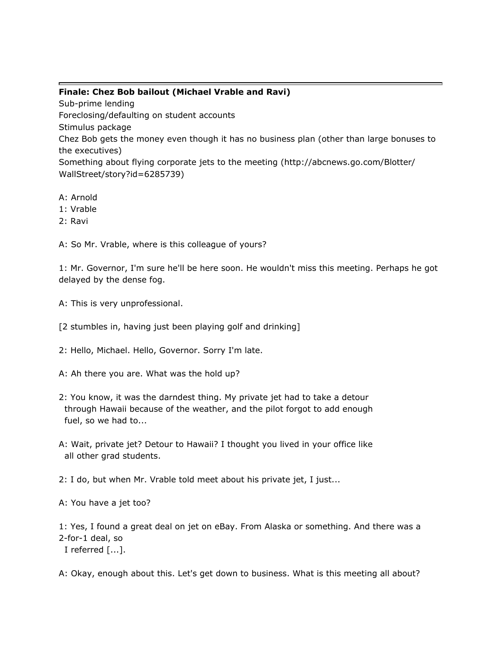### **Finale: Chez Bob bailout (Michael Vrable and Ravi)**

Sub-prime lending Foreclosing/defaulting on student accounts Stimulus package Chez Bob gets the money even though it has no business plan (other than large bonuses to the executives) Something about flying corporate jets to the meeting (http://abcnews.go.com/Blotter/ WallStreet/story?id=6285739)

- A: Arnold
- 1: Vrable
- 2: Ravi

A: So Mr. Vrable, where is this colleague of yours?

1: Mr. Governor, I'm sure he'll be here soon. He wouldn't miss this meeting. Perhaps he got delayed by the dense fog.

- A: This is very unprofessional.
- [2 stumbles in, having just been playing golf and drinking]
- 2: Hello, Michael. Hello, Governor. Sorry I'm late.
- A: Ah there you are. What was the hold up?
- 2: You know, it was the darndest thing. My private jet had to take a detour through Hawaii because of the weather, and the pilot forgot to add enough fuel, so we had to...
- A: Wait, private jet? Detour to Hawaii? I thought you lived in your office like all other grad students.

2: I do, but when Mr. Vrable told meet about his private jet, I just...

A: You have a jet too?

1: Yes, I found a great deal on jet on eBay. From Alaska or something. And there was a 2-for-1 deal, so

I referred [...].

A: Okay, enough about this. Let's get down to business. What is this meeting all about?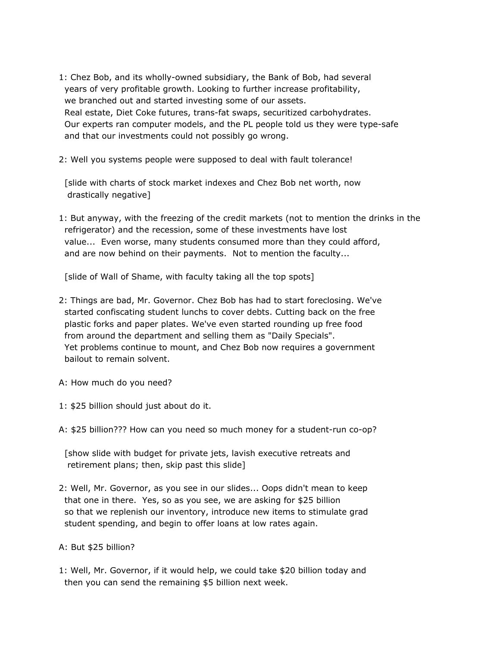- 1: Chez Bob, and its wholly-owned subsidiary, the Bank of Bob, had several years of very profitable growth. Looking to further increase profitability, we branched out and started investing some of our assets. Real estate, Diet Coke futures, trans-fat swaps, securitized carbohydrates. Our experts ran computer models, and the PL people told us they were type-safe and that our investments could not possibly go wrong.
- 2: Well you systems people were supposed to deal with fault tolerance!

[slide with charts of stock market indexes and Chez Bob net worth, now drastically negative]

1: But anyway, with the freezing of the credit markets (not to mention the drinks in the refrigerator) and the recession, some of these investments have lost value... Even worse, many students consumed more than they could afford, and are now behind on their payments. Not to mention the faculty...

[slide of Wall of Shame, with faculty taking all the top spots]

- 2: Things are bad, Mr. Governor. Chez Bob has had to start foreclosing. We've started confiscating student lunchs to cover debts. Cutting back on the free plastic forks and paper plates. We've even started rounding up free food from around the department and selling them as "Daily Specials". Yet problems continue to mount, and Chez Bob now requires a government bailout to remain solvent.
- A: How much do you need?
- 1: \$25 billion should just about do it.
- A: \$25 billion??? How can you need so much money for a student-run co-op?

[show slide with budget for private jets, lavish executive retreats and retirement plans; then, skip past this slide]

- 2: Well, Mr. Governor, as you see in our slides... Oops didn't mean to keep that one in there. Yes, so as you see, we are asking for \$25 billion so that we replenish our inventory, introduce new items to stimulate grad student spending, and begin to offer loans at low rates again.
- A: But \$25 billion?
- 1: Well, Mr. Governor, if it would help, we could take \$20 billion today and then you can send the remaining \$5 billion next week.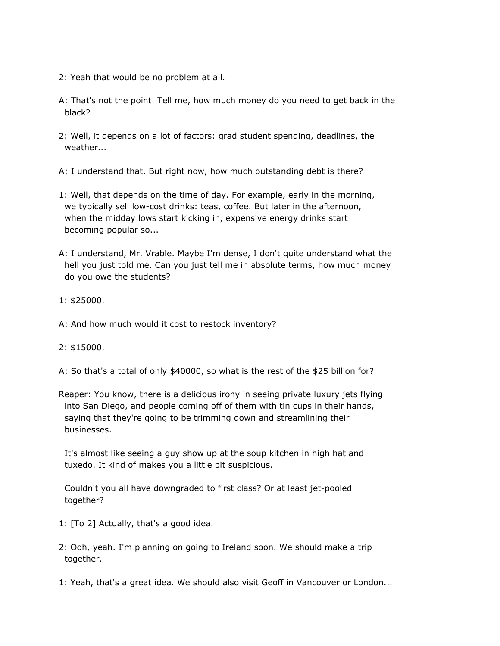- 2: Yeah that would be no problem at all.
- A: That's not the point! Tell me, how much money do you need to get back in the black?
- 2: Well, it depends on a lot of factors: grad student spending, deadlines, the weather...
- A: I understand that. But right now, how much outstanding debt is there?
- 1: Well, that depends on the time of day. For example, early in the morning, we typically sell low-cost drinks: teas, coffee. But later in the afternoon, when the midday lows start kicking in, expensive energy drinks start becoming popular so...
- A: I understand, Mr. Vrable. Maybe I'm dense, I don't quite understand what the hell you just told me. Can you just tell me in absolute terms, how much money do you owe the students?
- 1: \$25000.
- A: And how much would it cost to restock inventory?
- 2: \$15000.
- A: So that's a total of only \$40000, so what is the rest of the \$25 billion for?
- Reaper: You know, there is a delicious irony in seeing private luxury jets flying into San Diego, and people coming off of them with tin cups in their hands, saying that they're going to be trimming down and streamlining their businesses.

It's almost like seeing a guy show up at the soup kitchen in high hat and tuxedo. It kind of makes you a little bit suspicious.

Couldn't you all have downgraded to first class? Or at least jet-pooled together?

- 1: [To 2] Actually, that's a good idea.
- 2: Ooh, yeah. I'm planning on going to Ireland soon. We should make a trip together.
- 1: Yeah, that's a great idea. We should also visit Geoff in Vancouver or London...